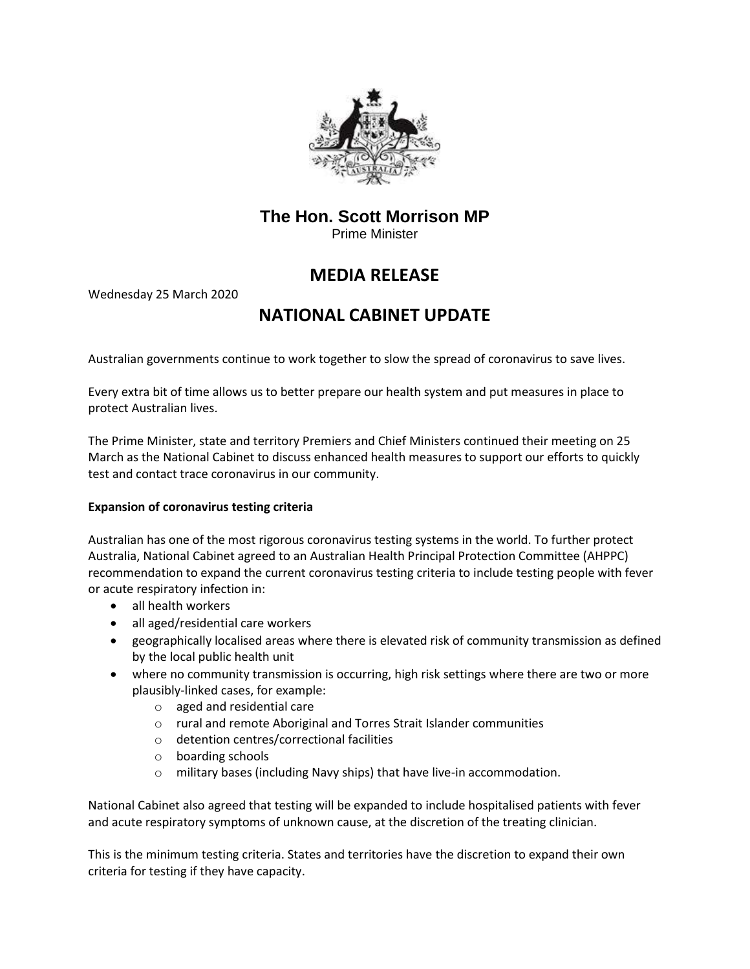

# **The Hon. Scott Morrison MP**

Prime Minister

# **MEDIA RELEASE**

Wednesday 25 March 2020

# **NATIONAL CABINET UPDATE**

Australian governments continue to work together to slow the spread of coronavirus to save lives.

Every extra bit of time allows us to better prepare our health system and put measures in place to protect Australian lives.

The Prime Minister, state and territory Premiers and Chief Ministers continued their meeting on 25 March as the National Cabinet to discuss enhanced health measures to support our efforts to quickly test and contact trace coronavirus in our community.

## **Expansion of coronavirus testing criteria**

Australian has one of the most rigorous coronavirus testing systems in the world. To further protect Australia, National Cabinet agreed to an Australian Health Principal Protection Committee (AHPPC) recommendation to expand the current coronavirus testing criteria to include testing people with fever or acute respiratory infection in:

- all health workers
- all aged/residential care workers
- geographically localised areas where there is elevated risk of community transmission as defined by the local public health unit
- where no community transmission is occurring, high risk settings where there are two or more plausibly-linked cases, for example:
	- o aged and residential care
	- o rural and remote Aboriginal and Torres Strait Islander communities
	- o detention centres/correctional facilities
	- o boarding schools
	- o military bases (including Navy ships) that have live-in accommodation.

National Cabinet also agreed that testing will be expanded to include hospitalised patients with fever and acute respiratory symptoms of unknown cause, at the discretion of the treating clinician.

This is the minimum testing criteria. States and territories have the discretion to expand their own criteria for testing if they have capacity.